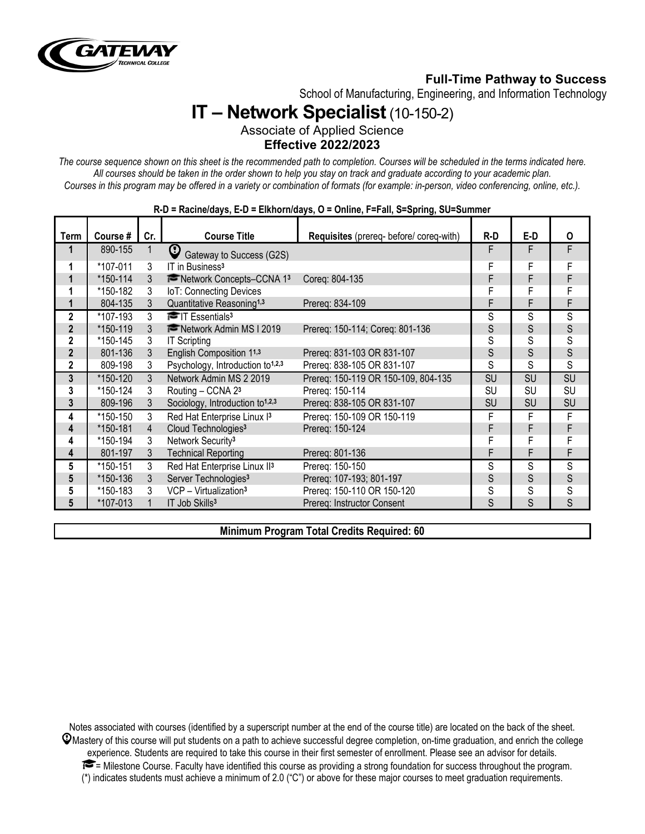

# **Full-Time Pathway to Success**

School of Manufacturing, Engineering, and Information Technology

# **IT – Network Specialist**(10-150-2)

Associate of Applied Science **Effective 2022/2023**

*The course sequence shown on this sheet is the recommended path to completion. Courses will be scheduled in the terms indicated here. All courses should be taken in the order shown to help you stay on track and graduate according to your academic plan. Courses in this program may be offered in a variety or combination of formats (for example: in-person, video conferencing, online, etc.).*

| Term           | Course # | Cr.            | <b>Course Title</b>                          | Requisites (prereq- before/ coreq-with) | $R-D$     | E-D       | 0         |
|----------------|----------|----------------|----------------------------------------------|-----------------------------------------|-----------|-----------|-----------|
|                | 890-155  | 1              | $\mathbf \Theta$<br>Gateway to Success (G2S) |                                         | F         | F         | F         |
|                | *107-011 | 3              | IT in Business <sup>3</sup>                  |                                         | F         | F         | F         |
|                | *150-114 | 3              | The Network Concepts-CCNA 13                 | Coreg: 804-135                          | F         | F         | F         |
|                | *150-182 | 3              | IoT: Connecting Devices                      |                                         | F         | F         | F         |
| 1              | 804-135  | 3              | Quantitative Reasoning <sup>1,3</sup>        | Prereq: 834-109                         | F         | F         | F         |
| $\overline{2}$ | *107-193 | $\mathcal{S}$  | $\blacksquare$ T Essentials <sup>3</sup>     |                                         | S         | S         | S         |
| $\overline{2}$ | *150-119 | 3              | Network Admin MS I 2019                      | Prereq: 150-114; Coreq: 801-136         | S         | S         | S         |
| $\overline{2}$ | *150-145 | 3              | <b>IT Scripting</b>                          |                                         | S         | S         | S         |
| $\overline{2}$ | 801-136  | 3              | English Composition 11,3                     | Prereg: 831-103 OR 831-107              | S         | S         | S         |
| $\overline{2}$ | 809-198  | 3              | Psychology, Introduction to <sup>1,2,3</sup> | Prereq: 838-105 OR 831-107              | S         | S         | S         |
| $\mathbf{3}$   | *150-120 | $\mathcal{S}$  | Network Admin MS 2 2019                      | Prereg: 150-119 OR 150-109, 804-135     | SU        | SU        | SU        |
| 3              | *150-124 | 3              | Routing - CCNA 23                            | Prereq: 150-114                         | SU        | <b>SU</b> | <b>SU</b> |
| 3              | 809-196  | 3              | Sociology, Introduction to <sup>1,2,3</sup>  | Prereg: 838-105 OR 831-107              | <b>SU</b> | <b>SU</b> | <b>SU</b> |
| 4              | *150-150 | 3              | Red Hat Enterprise Linux I3                  | Prereg: 150-109 OR 150-119              | F         | F         | F         |
| 4              | *150-181 | $\overline{4}$ | Cloud Technologies <sup>3</sup>              | Prereq: 150-124                         | F         | F         | F         |
| 4              | *150-194 | 3              | Network Security <sup>3</sup>                |                                         | F         | F         | F         |
| 4              | 801-197  | 3              | <b>Technical Reporting</b>                   | Prereq: 801-136                         | F         | F         | F         |
| 5              | *150-151 | 3              | Red Hat Enterprise Linux II3                 | Prereg: 150-150                         | S         | S         | S         |
| 5              | *150-136 | 3              | Server Technologies <sup>3</sup>             | Prereq: 107-193; 801-197                | S         | S         | S         |
| 5              | *150-183 | 3              | VCP - Virtualization <sup>3</sup>            | Prereq: 150-110 OR 150-120              | S         | S         | S         |
| 5              | *107-013 |                | IT Job Skills <sup>3</sup>                   | Prereq: Instructor Consent              | S         | S         | S         |

#### **R-D = Racine/days, E-D = Elkhorn/days, O = Online, F=Fall, S=Spring, SU=Summer**

**Minimum Program Total Credits Required: 60**

Notes associated with courses (identified by a superscript number at the end of the course title) are located on the back of the sheet.  $\mathcal Q$ Mastery of this course will put students on a path to achieve successful degree completion, on-time graduation, and enrich the college experience. Students are required to take this course in their first semester of enrollment. Please see an advisor for details.  $\blacktriangleright$  = Milestone Course. Faculty have identified this course as providing a strong foundation for success throughout the program. (\*) indicates students must achieve a minimum of 2.0 ("C") or above for these major courses to meet graduation requirements.